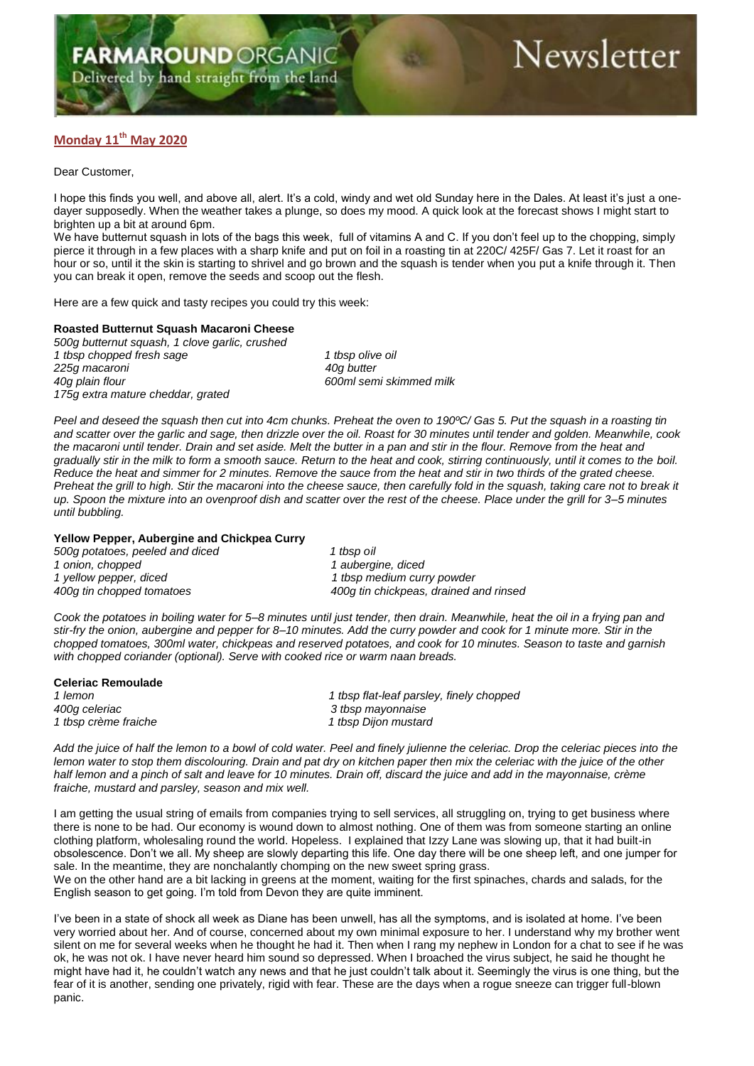## **Monday 11th May 2020**

Dear Customer,

I hope this finds you well, and above all, alert. It's a cold, windy and wet old Sunday here in the Dales. At least it's just a onedayer supposedly. When the weather takes a plunge, so does my mood. A quick look at the forecast shows I might start to brighten up a bit at around 6pm.

We have butternut squash in lots of the bags this week, full of vitamins A and C. If you don't feel up to the chopping, simply pierce it through in a few places with a sharp knife and put on foil in a roasting tin at 220C/ 425F/ Gas 7. Let it roast for an hour or so, until it the skin is starting to shrivel and go brown and the squash is tender when you put a knife through it. Then you can break it open, remove the seeds and scoop out the flesh.

Here are a few quick and tasty recipes you could try this week:

## **Roasted Butternut Squash Macaroni Cheese**

*500g butternut squash, 1 clove garlic, crushed 1 tbsp chopped fresh sage 1 tbsp olive oil 225g macaroni 40g butter 175g extra mature cheddar, grated*

*40g plain flour 600ml semi skimmed milk*

*Peel and deseed the squash then cut into 4cm chunks. Preheat the oven to 190ºC/ Gas 5. Put the squash in a roasting tin and scatter over the garlic and sage, then drizzle over the oil. Roast for 30 minutes until tender and golden. Meanwhile, cook the macaroni until tender. Drain and set aside. Melt the butter in a pan and stir in the flour. Remove from the heat and gradually stir in the milk to form a smooth sauce. Return to the heat and cook, stirring continuously, until it comes to the boil. Reduce the heat and simmer for 2 minutes. Remove the sauce from the heat and stir in two thirds of the grated cheese. Preheat the grill to high. Stir the macaroni into the cheese sauce, then carefully fold in the squash, taking care not to break it up. Spoon the mixture into an ovenproof dish and scatter over the rest of the cheese. Place under the grill for 3–5 minutes until bubbling.*

## **Yellow Pepper, Aubergine and Chickpea Curry**

*500g potatoes, peeled and diced 1 tbsp oil 1 onion, chopped 1 aubergine, diced*

*1 yellow pepper, diced 1 tbsp medium curry powder* 400g tin chickpeas, drained and rinsed

*Cook the potatoes in boiling water for 5–8 minutes until just tender, then drain. Meanwhile, heat the oil in a frying pan and stir-fry the onion, aubergine and pepper for 8–10 minutes. Add the curry powder and cook for 1 minute more. Stir in the chopped tomatoes, 300ml water, chickpeas and reserved potatoes, and cook for 10 minutes. Season to taste and garnish with chopped coriander (optional). Serve with cooked rice or warm naan breads.*

| <b>Celeriac Remoulade</b> |                                          |
|---------------------------|------------------------------------------|
| 1 lemon                   | 1 tbsp flat-leaf parsley, finely chopped |
| 400q celeriac             | 3 tbsp mayonnaise                        |
| 1 tbsp crème fraiche      | 1 tbsp Dijon mustard                     |

*Add the juice of half the lemon to a bowl of cold water. Peel and finely julienne the celeriac. Drop the celeriac pieces into the lemon water to stop them discolouring. Drain and pat dry on kitchen paper then mix the celeriac with the juice of the other half lemon and a pinch of salt and leave for 10 minutes. Drain off, discard the juice and add in the mayonnaise, crème fraiche, mustard and parsley, season and mix well.* 

I am getting the usual string of emails from companies trying to sell services, all struggling on, trying to get business where there is none to be had. Our economy is wound down to almost nothing. One of them was from someone starting an online clothing platform, wholesaling round the world. Hopeless. I explained that Izzy Lane was slowing up, that it had built-in obsolescence. Don't we all. My sheep are slowly departing this life. One day there will be one sheep left, and one jumper for sale. In the meantime, they are nonchalantly chomping on the new sweet spring grass.

We on the other hand are a bit lacking in greens at the moment, waiting for the first spinaches, chards and salads, for the English season to get going. I'm told from Devon they are quite imminent.

I've been in a state of shock all week as Diane has been unwell, has all the symptoms, and is isolated at home. I've been very worried about her. And of course, concerned about my own minimal exposure to her. I understand why my brother went silent on me for several weeks when he thought he had it. Then when I rang my nephew in London for a chat to see if he was ok, he was not ok. I have never heard him sound so depressed. When I broached the virus subject, he said he thought he might have had it, he couldn't watch any news and that he just couldn't talk about it. Seemingly the virus is one thing, but the fear of it is another, sending one privately, rigid with fear. These are the days when a rogue sneeze can trigger full-blown panic.